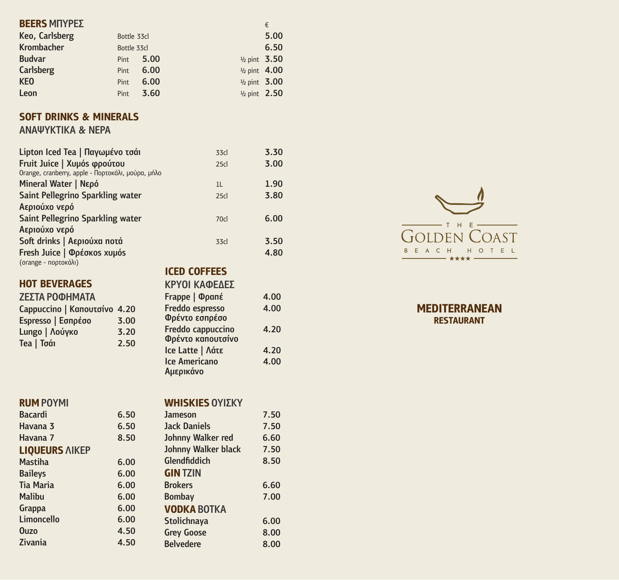# **BEERS** ΜΠΥΡΕΣ <del>επιχειριστικό του καταστικού επιχειριστικό του και του επιχειριστικό του επιχειριστικό του επιχειρ</del>

| Keo, Carlsberg    | Bottle 33cl |      |                         | 5.00 |
|-------------------|-------------|------|-------------------------|------|
| <b>Krombacher</b> | Bottle 33cl |      |                         | 6.50 |
| <b>Budvar</b>     | Pint        | 5.00 | $\frac{1}{2}$ pint 3.50 |      |
| <b>Carlsberg</b>  | <b>Pint</b> | 6.00 | $\frac{1}{2}$ pint 4.00 |      |
| <b>KEO</b>        | Pint        | 6.00 | $\frac{1}{2}$ pint 3.00 |      |
| Leon              | <b>Pint</b> | 3.60 | $\frac{1}{2}$ pint 2.50 |      |

## **SOFT DRINKS & MINERALS**

### ΑΝΑΨΥΚΤΙΚΑ & ΝΕΡΑ

| Lipton Iced Tea   Παγωμένο τσάι                   | 33cl                | 3.30 |
|---------------------------------------------------|---------------------|------|
| Fruit Juice   Χυμόs φρούτου                       | 25 <sub>cl</sub>    | 3.00 |
| Orange, cranberry, apple - Πορτοκάλι, μούρα, μήλο |                     |      |
| Mineral Water   Νερό                              | 1 <sub>L</sub>      | 1.90 |
| <b>Saint Pellegrino Sparkling water</b>           | 25 <sub>cl</sub>    | 3.80 |
| Αεριούχο νερό                                     |                     |      |
| <b>Saint Pellegrino Sparkling water</b>           | 70cl                | 6.00 |
| Αεριούχο νερό                                     |                     |      |
| Soft drinks   Αεριούχα ποτά                       | 33cl                | 3.50 |
| Fresh Juice   Φρέσκος χυμός                       |                     | 4.80 |
| (orange - πορτοκάλι)                              |                     |      |
|                                                   | <b>ICED COFFEES</b> |      |

#### **HOT BEVERAGES**

#### ΖΕΣΤΑ ΡΟΦΗΜΑΤΑ

| Cappuccino   Καπουτσίνο 4.20 |      |
|------------------------------|------|
| Espresso   Εσπρέσο           | 3.00 |
| Lungo   Λούγκο               | 3.20 |
| Tea   Toái                   | 2.50 |

#### **RUM** ΡΟΥΜΙ

#### Bacardi 6.50 Havana 3 6.50 Havana 7 8.50 **LIQUEURS** ΛΙΚΕΡ Mastiha 6.00 **Baileys**

| <b>Baileys</b>    | 6.00 | <b>GIN TZIN</b>    |
|-------------------|------|--------------------|
| <b>Tia Maria</b>  | 6.00 | <b>Brokers</b>     |
| <b>Malibu</b>     | 6.00 | <b>Bombay</b>      |
| Grappa            | 6.00 | <b>VODKA BOTKA</b> |
| <b>Limoncello</b> | 6.00 | <b>Stolichnaya</b> |
| <b>Ouzo</b>       | 4.50 | <b>Grey Goose</b>  |
| Zivania           | 4.50 | <b>Belvedere</b>   |



**MEDITERRANEAN RESTAURANT**

#### **WHISKIES** ΟΥΙΣΚΥ

ΚΡΥΟΙ ΚΑΦΕΔΕΣ

Φρέντο εσπρέσο

Αμερικάνο

Φρέντο καπουτσίνο

Frappe | Φραπέ 4.00 Freddo espresso **4.00** 

Freddo cappuccino 4.20

Ice Latte | Λάτε 4.20 Ice Americano 4.00

| <b>Jameson</b>             | 7.50 |
|----------------------------|------|
| <b>Jack Daniels</b>        | 7.50 |
| Johnny Walker red          | 6.60 |
| <b>Johnny Walker black</b> | 7.50 |
| Glendfiddich               | 8.50 |
| <b>GIN TZIN</b>            |      |
| <b>Brokers</b>             | 6.60 |
| <b>Bombay</b>              | 7.00 |
| <b>VODKA BOTKA</b>         |      |
| <b>Stolichnaya</b>         | 6.00 |
| <b>Grey Goose</b>          | 8.00 |
| <b>Belvedere</b>           | 8.00 |